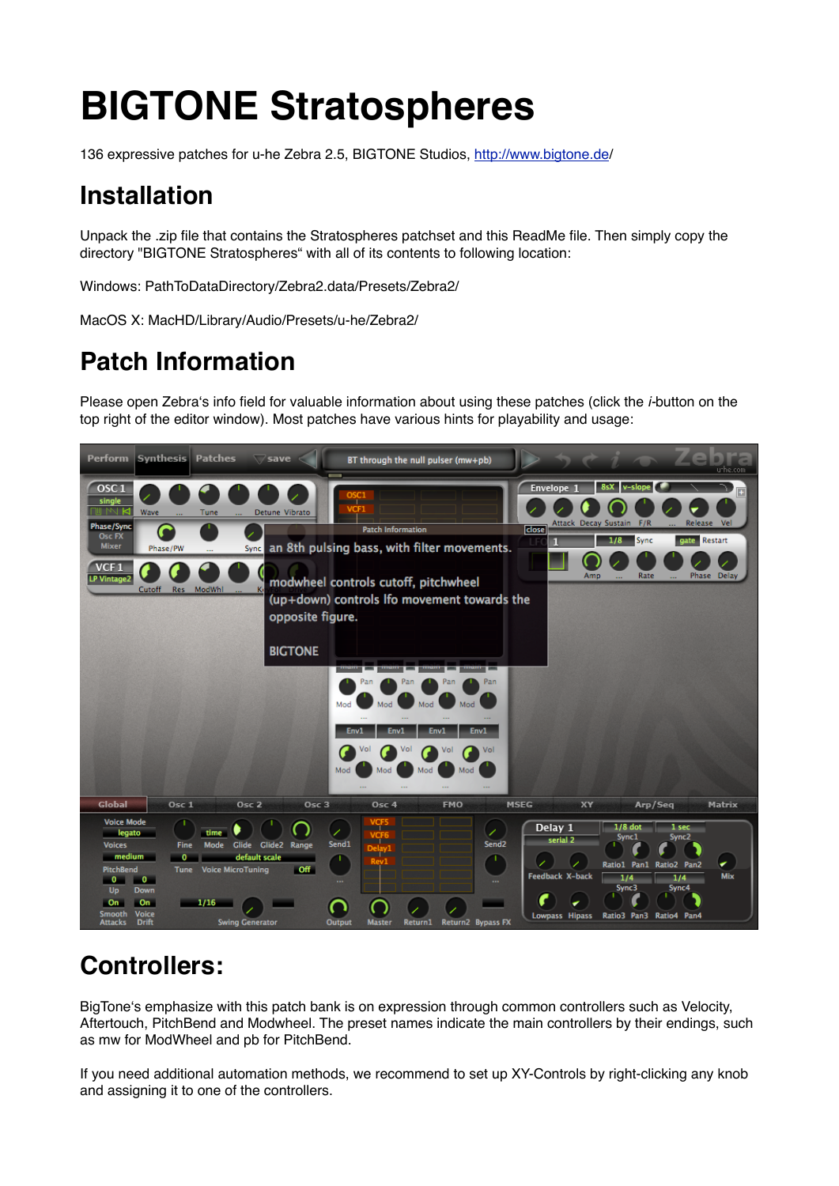# **BIGTONE Stratospheres**

136 expressive patches for u-he Zebra 2.5, BIGTONE Studios, <http://www.bigtone.de>/

## **Installation**

Unpack the .zip file that contains the Stratospheres patchset and this ReadMe file. Then simply copy the directory "BIGTONE Stratospheres" with all of its contents to following location:

Windows: PathToDataDirectory/Zebra2.data/Presets/Zebra2/

MacOS X: MacHD/Library/Audio/Presets/u-he/Zebra2/

## **Patch Information**

Please open Zebraʻs info field for valuable information about using these patches (click the *i-*button on the top right of the editor window). Most patches have various hints for playability and usage:



### **Controllers:**

BigToneʻs emphasize with this patch bank is on expression through common controllers such as Velocity, Aftertouch, PitchBend and Modwheel. The preset names indicate the main controllers by their endings, such as mw for ModWheel and pb for PitchBend.

If you need additional automation methods, we recommend to set up XY-Controls by right-clicking any knob and assigning it to one of the controllers.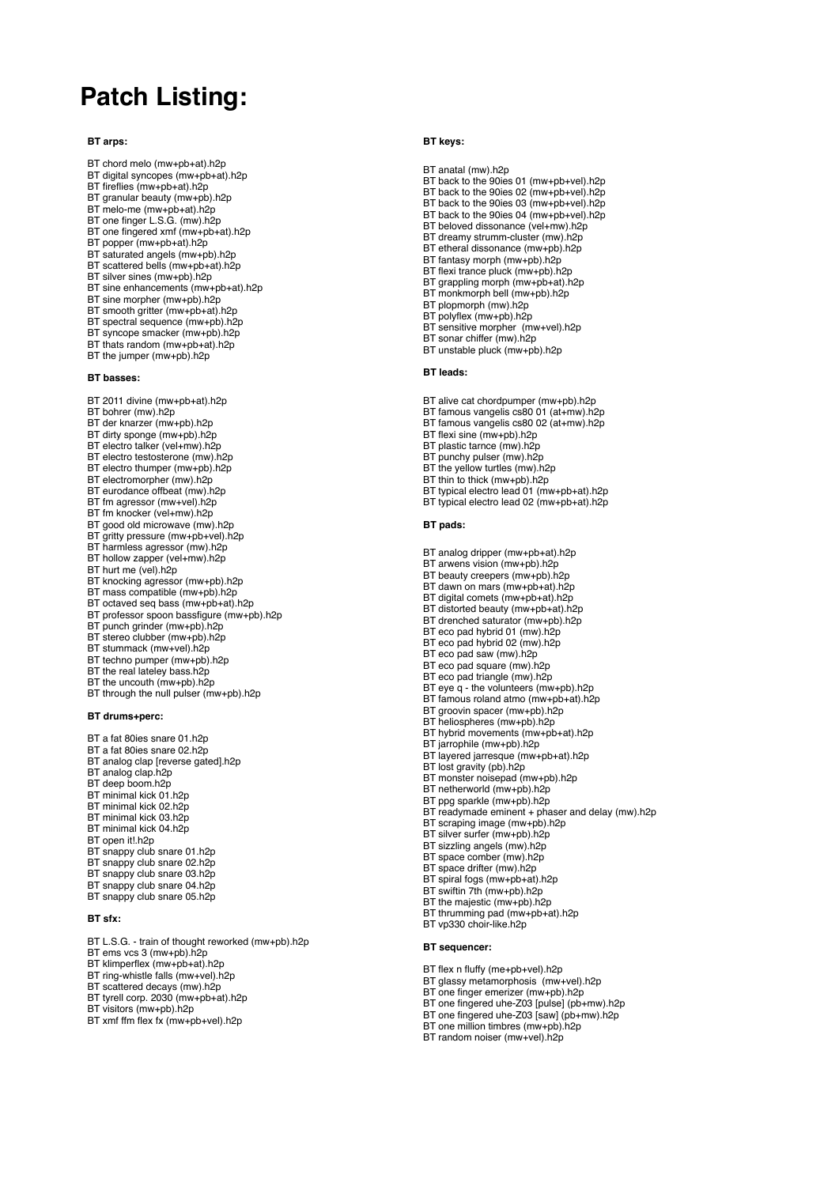### **Patch Listing:**

#### **BT arps:**

- BT chord melo (mw+pb+at).h2p
- BT digital syncopes (mw+pb+at).h2p BT fireflies (mw+pb+at).h2p
- BT granular beauty (mw+pb).h2p
- BT melo-me (mw+pb+at).h2p
- BT one finger L.S.G. (mw).h2p
- BT one fingered xmf (mw+pb+at).h2p
- BT popper (mw+pb+at).h2p
- BT saturated angels (mw+pb).h2p
- BT scattered bells (mw+pb+at).h2p
- BT silver sines (mw+pb).h2p BT sine enhancements (mw+pb+at).h2p
- 
- BT sine morpher (mw+pb).h2p
- BT smooth gritter (mw+pb+at).h2p
- BT spectral sequence (mw+pb).h2p BT syncope smacker (mw+pb).h2p
- BT thats random (mw+pb+at).h2p
- BT the jumper (mw+pb).h2p

#### **BT basses:**

- BT 2011 divine (mw+pb+at).h2p
- BT bohrer (mw).h2p
- BT der knarzer (mw+pb).h2p
- BT dirty sponge (mw+pb).h2p
- BT electro talker (vel+mw).h2p
- BT electro testosterone (mw).h2p
- BT electro thumper (mw+pb).h2p
- BT electromorpher (mw).h2p
- BT eurodance offbeat (mw).h2p
- BT fm agressor (mw+vel).h2p
- BT fm knocker (vel+mw).h2p
- BT good old microwave (mw).h2p
- BT gritty pressure (mw+pb+vel).h2p
- BT harmless agressor (mw).h2p
- BT hollow zapper (vel+mw).h2p
- BT hurt me (vel).h2p
- BT knocking agressor (mw+pb).h2p
- BT mass compatible (mw+pb).h2p
- BT octaved seq bass (mw+pb+at).h2p
- BT professor spoon bassfigure (mw+pb).h2p
- BT punch grinder (mw+pb).h2p
- BT stereo clubber (mw+pb).h2p
- BT stummack (mw+vel).h2p
- BT techno pumper (mw+pb).h2p
- BT the real lateley bass.h2p
- BT the uncouth (mw+pb).h2p BT through the null pulser (mw+pb).h2p
- **BT drums+perc:**
- BT a fat 80ies snare 01.h2p
- BT a fat 80ies snare 02.h2p
- BT analog clap [reverse gated].h2p
- BT analog clap.h2p
- BT deep boom.h2p BT minimal kick 01.h2p
- BT minimal kick 02.h2p
- BT minimal kick 03.h2p
- BT minimal kick 04.h2p
- BT open it!.h2p
- BT snappy club snare 01.h2p
- BT snappy club snare 02.h2p
- BT snappy club snare 03.h2p
- BT snappy club snare 04.h2p
- BT snappy club snare 05.h2p

### **BT sfx:**

- BT L.S.G. train of thought reworked (mw+pb).h2p
- BT ems vcs 3 (mw+pb).h2p
- BT klimperflex (mw+pb+at).h2p
- BT ring-whistle falls (mw+vel).h2p
- BT scattered decays (mw).h2p
- BT tyrell corp. 2030 (mw+pb+at).h2p
- BT visitors (mw+pb).h2p
- BT xmf ffm flex fx (mw+pb+vel).h2p

#### **BT keys:**

BT anatal (mw).h2p

- BT back to the 90ies 01 (mw+pb+vel).h2p
- BT back to the 90ies 02 (mw+pb+vel).h2p BT back to the 90ies 03 (mw+pb+vel).h2p
- 
- BT back to the 90ies 04 (mw+pb+vel).h2p
- BT beloved dissonance (vel+mw).h2p BT dreamy strumm-cluster (mw).h2p
- BT etheral dissonance (mw+pb).h2p
- BT fantasy morph (mw+pb).h2p
- BT flexi trance pluck (mw+pb).h2p
- BT grappling morph (mw+pb+at).h2p
- BT monkmorph bell (mw+pb).h2p
- BT plopmorph (mw).h2p
- BT polyflex (mw+pb).h2p BT sensitive morpher (mw+vel).h2p

BT unstable pluck (mw+pb).h2p

BT alive cat chordpumper (mw+pb).h2p BT famous vangelis cs80 01 (at+mw).h2p BT famous vangelis cs80 02 (at+mw).h2p

BT typical electro lead 01 (mw+pb+at).h2p BT typical electro lead 02 (mw+pb+at).h2p

BT analog dripper (mw+pb+at).h2p BT arwens vision (mw+pb).h2p BT beauty creepers (mw+pb).h2p BT dawn on mars (mw+pb+at).h2p BT digital comets (mw+pb+at).h2p BT distorted beauty (mw+pb+at).h2p BT drenched saturator (mw+pb).h2p BT eco pad hybrid 01 (mw).h2p BT eco pad hybrid 02 (mw).h2p BT eco pad saw (mw).h2p BT eco pad square (mw).h2p BT eco pad triangle (mw).h2p BT eye q - the volunteers (mw+pb).h2p BT famous roland atmo (mw+pb+at).h2p BT groovin spacer (mw+pb).h2p BT heliospheres (mw+pb).h2p BT hybrid movements (mw+pb+at).h2p

BT jarrophile (mw+pb).h2p BT layered jarresque (mw+pb+at).h2p

BT scraping image (mw+pb).h2p BT silver surfer (mw+pb).h2p BT sizzling angels (mw).h2p BT space comber (mw).h2p BT space drifter (mw).h2p BT spiral fogs (mw+pb+at).h2p BT swiftin 7th (mw+pb).h2p BT the majestic (mw+pb).h2p BT thrumming pad (mw+pb+at).h2p

BT readymade eminent + phaser and delay (mw).h2p

BT lost gravity (pb).h2p BT monster noisepad (mw+pb).h2p BT netherworld (mw+pb).h2p BT ppg sparkle (mw+pb).h2p

BT vp330 choir-like.h2p

BT flex n fluffy (me+pb+vel).h2p BT glassy metamorphosis (mw+vel).h2p BT one finger emerizer (mw+pb).h2p BT one fingered uhe-Z03 [pulse] (pb+mw).h2p BT one fingered uhe-Z03 [saw] (pb+mw).h2p BT one million timbres (mw+pb).h2p BT random noiser (mw+vel).h2p

**BT sequencer:**

**BT leads:**

**BT pads:**

- 
- 
- BT sonar chiffer (mw).h2p

BT flexi sine (mw+pb).h2p BT plastic tarnce (mw).h2p BT punchy pulser (mw).h2p BT the yellow turtles (mw).h2p BT thin to thick (mw+pb).h2p

- 
- 
- 
- 
- 
-